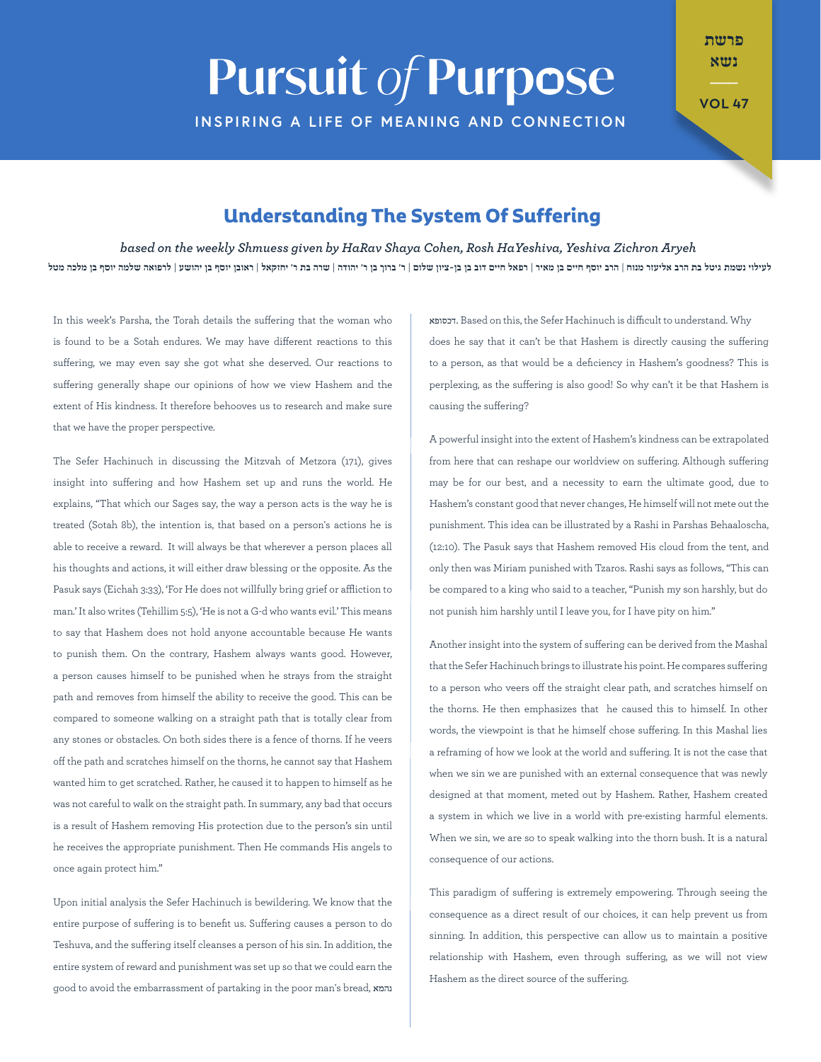## **Pursuit of Purpose INSPIRING A LIFE OF MEANING AND CONNECTION**

פרשת נשא

**47 VOL**

## **Understanding The System Of Suffering**

*Aryeh Zichron Yeshiva ,HaYeshiva Rosh ,Cohen Shaya HaRav by given Shmuess weekly the on based* לעילוי נשמת גיטל בת הרב אליעזר מנוח | הרב יוסף חיים בן מאור | רפאל חיים דוב בן ר' מאוד | שרה בת ר' יחזקאל | ראובן יוסף בן יהושע | לרפואה שלמה יוסף בן מלכה מטל

In this week's Parsha, the Torah details the suffering that the woman who is found to be a Sotah endures. We may have different reactions to this suffering, we may even say she got what she deserved. Our reactions to suffering generally shape our opinions of how we view Hashem and the extent of His kindness. It therefore behooves us to research and make sure that we have the proper perspective.

The Sefer Hachinuch in discussing the Mitzvah of Metzora (171), gives insight into suffering and how Hashem set up and runs the world. He explains, "That which our Sages say, the way a person acts is the way he is treated (Sotah 8b), the intention is, that based on a person's actions he is able to receive a reward. It will always be that wherever a person places all his thoughts and actions, it will either draw blessing or the opposite. As the Pasuk says (Eichah 3:33), 'For He does not willfully bring grief or affliction to man.' It also writes (Tehillim 5:5), 'He is not a G-d who wants evil.' This means to say that Hashem does not hold anyone accountable because He wants to punish them. On the contrary, Hashem always wants good. However, a person causes himself to be punished when he strays from the straight path and removes from himself the ability to receive the good. This can be compared to someone walking on a straight path that is totally clear from any stones or obstacles. On both sides there is a fence of thorns. If he veers off the path and scratches himself on the thorns, he cannot say that Hashem wanted him to get scratched. Rather, he caused it to happen to himself as he was not careful to walk on the straight path. In summary, any bad that occurs is a result of Hashem removing His protection due to the person's sin until he receives the appropriate punishment. Then He commands His angels to once again protect him."

Upon initial analysis the Sefer Hachinuch is bewildering. We know that the entire purpose of suffering is to benefit us. Suffering causes a person to do Teshuva, and the suffering itself cleanses a person of his sin. In addition, the entire system of reward and punishment was set up so that we could earn the נהמא ,good to avoid the embarrassment of partaking in the poor man's bread, נהמא דכסופא. Based on this, the Sefer Hachinuch is difficult to understand. Why does he say that it can't be that Hashem is directly causing the suffering to a person, as that would be a deficiency in Hashem's goodness? This is perplexing, as the suffering is also good! So why can't it be that Hashem is causing the suffering?

A powerful insight into the extent of Hashem's kindness can be extrapolated from here that can reshape our worldview on suffering. Although suffering may be for our best, and a necessity to earn the ultimate good, due to Hashem's constant good that never changes, He himself will not mete out the punishment. This idea can be illustrated by a Rashi in Parshas Behaaloscha, (12:10). The Pasuk says that Hashem removed His cloud from the tent, and only then was Miriam punished with Tzaros. Rashi says as follows, "This can be compared to a king who said to a teacher, "Punish my son harshly, but do not punish him harshly until I leave you, for I have pity on him."

Another insight into the system of suffering can be derived from the Mashal that the Sefer Hachinuch brings to illustrate his point. He compares suffering to a person who veers off the straight clear path, and scratches himself on the thorns. He then emphasizes that he caused this to himself. In other words, the viewpoint is that he himself chose suffering. In this Mashal lies a reframing of how we look at the world and suffering. It is not the case that when we sin we are punished with an external consequence that was newly designed at that moment, meted out by Hashem. Rather, Hashem created a system in which we live in a world with pre-existing harmful elements. When we sin, we are so to speak walking into the thorn bush. It is a natural consequence of our actions.

This paradigm of suffering is extremely empowering. Through seeing the consequence as a direct result of our choices, it can help prevent us from sinning. In addition, this perspective can allow us to maintain a positive relationship with Hashem, even through suffering, as we will not view Hashem as the direct source of the suffering.